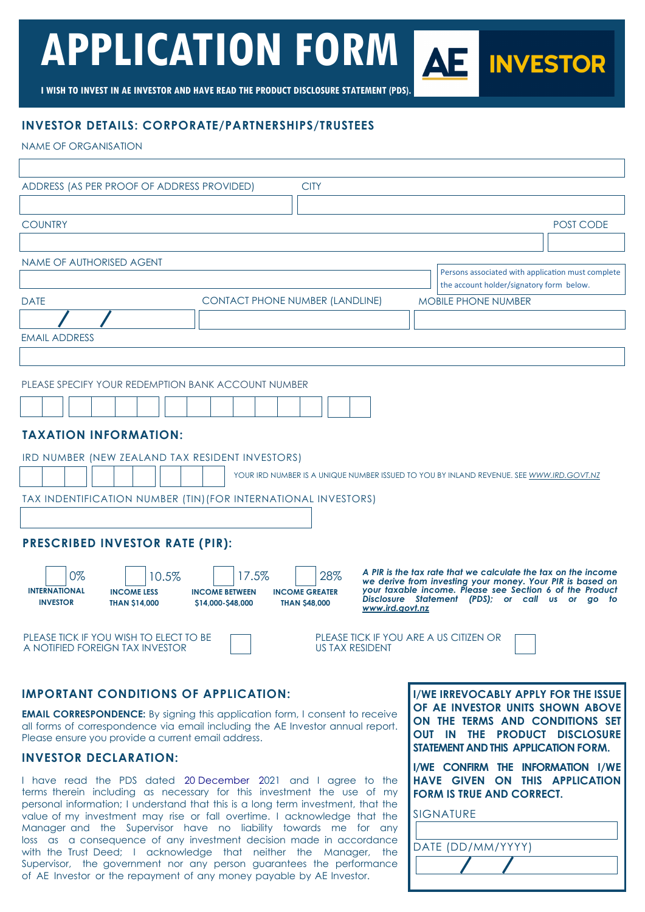## **APPLICATION FORM AS INVESTOR**

**I WISH TO INVEST IN AE INVESTOR AND HAVE READ THE PRODUCT DISCLOSURE STATEMENT (PDS).** 

#### **INVESTOR DETAILS: CORPORATE/PARTNERSHIPS/TRUSTEES**

NAME OF ORGANISATION

| ADDRESS (AS PER PROOF OF ADDRESS PROVIDED)<br><b>CITY</b>                                                                                                                                                                                                                                                                                                                                                                                                                           |           |
|-------------------------------------------------------------------------------------------------------------------------------------------------------------------------------------------------------------------------------------------------------------------------------------------------------------------------------------------------------------------------------------------------------------------------------------------------------------------------------------|-----------|
|                                                                                                                                                                                                                                                                                                                                                                                                                                                                                     |           |
| <b>COUNTRY</b>                                                                                                                                                                                                                                                                                                                                                                                                                                                                      | POST CODE |
|                                                                                                                                                                                                                                                                                                                                                                                                                                                                                     |           |
| NAME OF AUTHORISED AGENT                                                                                                                                                                                                                                                                                                                                                                                                                                                            |           |
| Persons associated with application must complete<br>the account holder/signatory form below.                                                                                                                                                                                                                                                                                                                                                                                       |           |
| <b>CONTACT PHONE NUMBER (LANDLINE)</b><br><b>DATE</b><br><b>MOBILE PHONE NUMBER</b>                                                                                                                                                                                                                                                                                                                                                                                                 |           |
|                                                                                                                                                                                                                                                                                                                                                                                                                                                                                     |           |
| <b>EMAIL ADDRESS</b>                                                                                                                                                                                                                                                                                                                                                                                                                                                                |           |
|                                                                                                                                                                                                                                                                                                                                                                                                                                                                                     |           |
| PLEASE SPECIFY YOUR REDEMPTION BANK ACCOUNT NUMBER<br><b>TAXATION INFORMATION:</b><br>IRD NUMBER (NEW ZEALAND TAX RESIDENT INVESTORS)<br>YOUR IRD NUMBER IS A UNIQUE NUMBER ISSUED TO YOU BY INLAND REVENUE. SEE WWW.IRD.GOVT.NZ<br>TAX INDENTIFICATION NUMBER (TIN) (FOR INTERNATIONAL INVESTORS)<br><b>PRESCRIBED INVESTOR RATE (PIR):</b>                                                                                                                                        |           |
| A PIR is the tax rate that we calculate the tax on the income<br>28%<br>0%<br>17.5%<br>10.5%<br>we derive from investing your money. Your PIR is based on<br>your taxable income. Please see Section 6 of the Product<br><b>INTERNATIONAL</b><br><b>INCOME GREATER</b><br><b>INCOME LESS</b><br><b>INCOME BETWEEN</b><br>Disclosure Statement (PDS); or call us or go to<br><b>INVESTOR</b><br><b>THAN \$14,000</b><br>\$14,000-\$48,000<br><b>THAN \$48,000</b><br>www.ird.govt.nz |           |
| PLEASE TICK IF YOU WISH TO ELECT TO BE<br>PLEASE TICK IF YOU ARE A US CITIZEN OR<br>A NOTIFIED FOREIGN TAX INVESTOR<br><b>US TAX RESIDENT</b>                                                                                                                                                                                                                                                                                                                                       |           |

#### **IMPORTANT CONDITIONS OF APPLICATION:**

**EMAIL CORRESPONDENCE:** By signing this application form, I consent to receive all forms of correspondence via email including the AE Investor annual report. Please ensure you provide a current email address.

#### **INVESTOR DECLARATION:**

I have read the PDS dated 20 December 2021 and I agree to the terms therein including as necessary for this investment the use of my personal information; I understand that this is a long term investment, that the value of my investment may rise or fall overtime. I acknowledge that the Manager and the Supervisor have no liability towards me for any loss as a consequence of any investment decision made in accordance with the Trust Deed; I acknowledge that neither the Manager, the Supervisor, the government nor any person guarantees the performance of AE Investor or the repayment of any money payable by AE Investor.

**I/WE IRREVOCABLY APPLY FOR THE ISSUE OF AE INVESTOR UNITS SHOWN ABOVE ON THE TERMS AND CONDITIONS SET OUT IN THE PRODUCT DISCLOSURE STATEMENT AND THIS APPLICATION FORM.** 

**I/WE CONFIRM THE INFORMATION I/WE HAVE GIVEN ON THIS APPLICATION FORM IS TRUE AND CORRECT.** 

SIGNATURE

I

| DATE (DD/MM/YYYY) |  |
|-------------------|--|
|                   |  |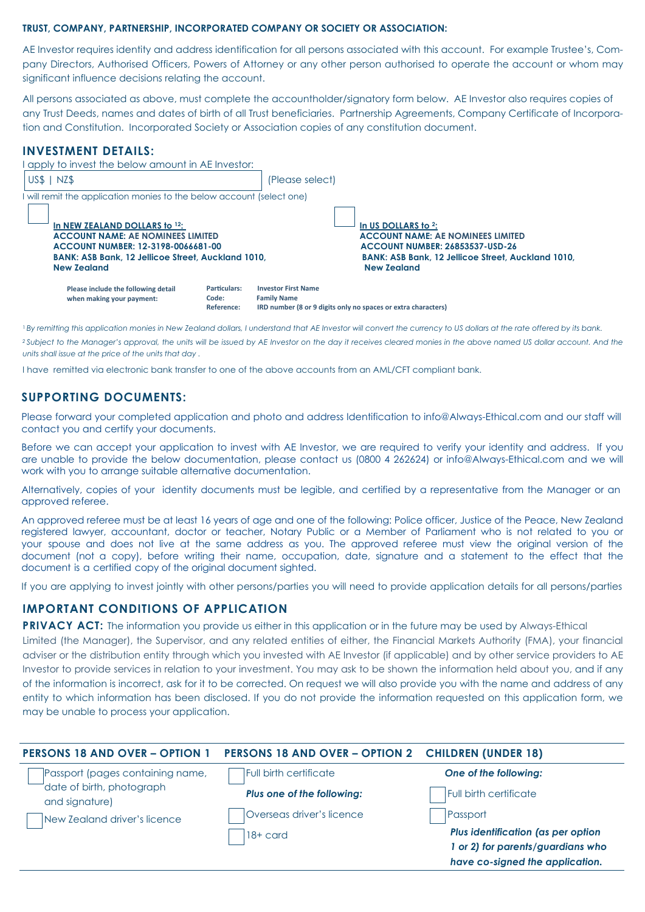#### **TRUST, COMPANY, PARTNERSHIP, INCORPORATED COMPANY OR SOCIETY OR ASSOCIATION:**

AE Investor requires identity and address identification for all persons associated with this account. For example Trustee's, Company Directors, Authorised Officers, Powers of Attorney or any other person authorised to operate the account or whom may significant influence decisions relating the account.

All persons associated as above, must complete the accountholder/signatory form below. AE Investor also requires copies of any Trust Deeds, names and dates of birth of all Trust beneficiaries. Partnership Agreements, Company Certificate of Incorporation and Constitution. Incorporated Society or Association copies of any constitution document.

#### **INVESTMENT DETAILS:**

| I apply to invest the below amount in AE Investor:                                                                                                                                                 |                                     |                                                  |                                                                                                                                                                                              |
|----------------------------------------------------------------------------------------------------------------------------------------------------------------------------------------------------|-------------------------------------|--------------------------------------------------|----------------------------------------------------------------------------------------------------------------------------------------------------------------------------------------------|
| US\$ 1<br>I NZ\$                                                                                                                                                                                   |                                     | (Please select)                                  |                                                                                                                                                                                              |
| I will remit the application monies to the below account (select one)                                                                                                                              |                                     |                                                  |                                                                                                                                                                                              |
| In NEW ZEALAND DOLLARS to 12:<br><b>ACCOUNT NAME: AE NOMINEES LIMITED</b><br>ACCOUNT NUMBER: 12-3198-0066681-00<br><b>BANK: ASB Bank. 12 Jellicoe Street. Auckland 1010.</b><br><b>New Zealand</b> |                                     |                                                  | In US DOLLARS to 2:<br><b>ACCOUNT NAME: AE NOMINEES LIMITED</b><br><b>ACCOUNT NUMBER: 26853537-USD-26</b><br><b>BANK: ASB Bank. 12 Jellicoe Street. Auckland 1010.</b><br><b>New Zealand</b> |
| Please include the following detail<br>when making your payment:                                                                                                                                   | Particulars:<br>Code:<br>Reference: | <b>Investor First Name</b><br><b>Family Name</b> | IRD number (8 or 9 digits only no spaces or extra characters)                                                                                                                                |

<sup>1</sup> By remitting this application monies in New Zealand dollars, I understand that AE Investor will convert the currency to US dollars at the rate offered by its bank.

<sup>2</sup>Subject to the Manager's approval, the units will be issued by AE Investor on the day it receives cleared monies in the above named US dollar account. And the *units shall issue at the price of the units that day .* 

I have remitted via electronic bank transfer to one of the above accounts from an AML/CFT compliant bank.

#### **SUPPORTING DOCUMENTS:**

Please forward your completed application and photo and address Identification to info@Always-Ethical.com and our staff will contact you and certify your documents.

Before we can accept your application to invest with AE Investor, we are required to verify your identity and address. If you are unable to provide the below documentation, please contact us (0800 4 262624) or info@Always-Ethical.com and we will work with you to arrange suitable alternative documentation.

Alternatively, copies of your identity documents must be legible, and certified by a representative from the Manager or an approved referee.

An approved referee must be at least 16 years of age and one of the following: Police officer, Justice of the Peace, New Zealand registered lawyer, accountant, doctor or teacher, Notary Public or a Member of Parliament who is not related to you or your spouse and does not live at the same address as you. The approved referee must view the original version of the document (not a copy), before writing their name, occupation, date, signature and a statement to the effect that the document is a certified copy of the original document sighted.

If you are applying to invest jointly with other persons/parties you will need to provide application details for all persons/parties

#### **IMPORTANT CONDITIONS OF APPLICATION**

**PRIVACY ACT:** The information you provide us either in this application or in the future may be used by Always-Ethical

Limited (the Manager), the Supervisor, and any related entities of either, the Financial Markets Authority (FMA), your financial adviser or the distribution entity through which you invested with AE Investor (if applicable) and by other service providers to AE Investor to provide services in relation to your investment. You may ask to be shown the information held about you, and if any of the information is incorrect, ask for it to be corrected. On request we will also provide you with the name and address of any entity to which information has been disclosed. If you do not provide the information requested on this application form, we may be unable to process your application.

| <b>PERSONS 18 AND OVER - OPTION 1</b>       | <b>PERSONS 18 AND OVER - OPTION 2 CHILDREN (UNDER 18)</b> |                                                                      |
|---------------------------------------------|-----------------------------------------------------------|----------------------------------------------------------------------|
| Passport (pages containing name,            | Full birth certificate                                    | One of the following:                                                |
| date of birth, photograph<br>and signature) | Plus one of the following:                                | Full birth certificate                                               |
| New Zealand driver's licence                | Overseas driver's licence                                 | Passport                                                             |
|                                             | 18+ card                                                  | Plus identification (as per option                                   |
|                                             |                                                           | 1 or 2) for parents/guardians who<br>have co-signed the application. |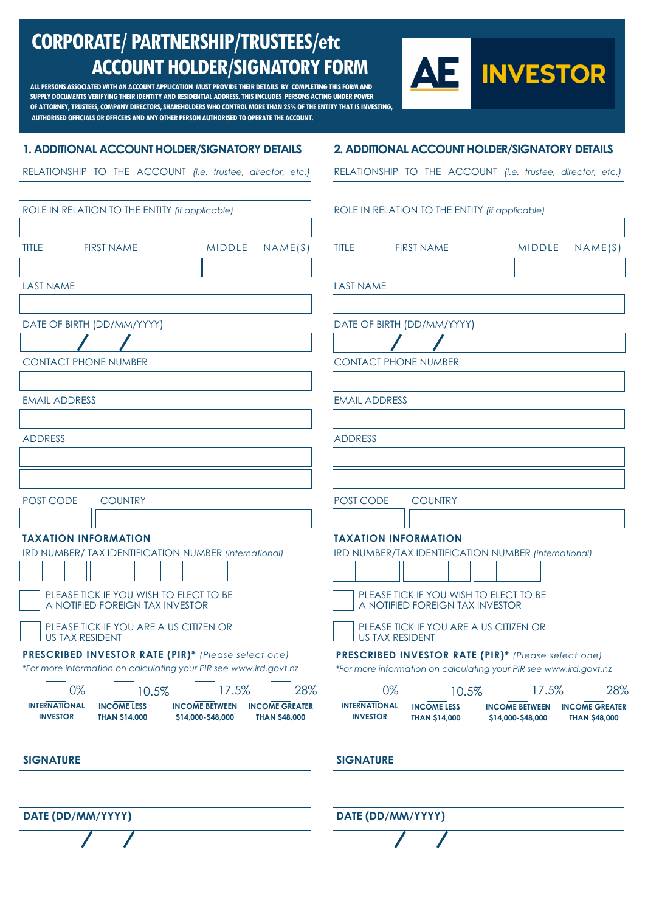### **CORPORATE/ PARTNERSHIP/TRUSTEES/etc ACCOUNT HOLDER/SIGNATORY FORM**

**ALL PERSONS ASSOCIATED WITH AN ACCOUNT APPLICATION MUST PROVIDE THEIR DETAILS BY COMPLETING THIS FORM AND SUPPLY DOCUMENTS VERIFYING THEIR IDENTITY AND RESIDENTIAL ADDRESS. THIS INCLUDES PERSONS ACTING UNDER POWER OF ATTORNEY, TRUSTEES, COMPANY DIRECTORS, SHAREHOLDERSWHO CONTROL MORE THAN 25%OF THE ENTITY THAT IS INVESTING, AUTHORISED OFFICIALS OR OFFICERS AND ANY OTHER PERSON AUTHORISED TO OPERATE THE ACCOUNT.**



#### **1. ADDITIONAL ACCOUNT HOLDER/SIGNATORY DETAILS**

#### **2. ADDITIONAL ACCOUNT HOLDER/SIGNATORY DETAILS**

|                                                | RELATIONSHIP TO THE ACCOUNT (i.e. trustee, director, etc.)                                                                                                                                                                            |                                                                                                             |                                                |                                                                                                                                                                                                                                      | RELATIONSHIP TO THE ACCOUNT (i.e. trustee, director, etc.)                                                                                                                                                                              |  |  |  |
|------------------------------------------------|---------------------------------------------------------------------------------------------------------------------------------------------------------------------------------------------------------------------------------------|-------------------------------------------------------------------------------------------------------------|------------------------------------------------|--------------------------------------------------------------------------------------------------------------------------------------------------------------------------------------------------------------------------------------|-----------------------------------------------------------------------------------------------------------------------------------------------------------------------------------------------------------------------------------------|--|--|--|
| ROLE IN RELATION TO THE ENTITY (if applicable) |                                                                                                                                                                                                                                       |                                                                                                             | ROLE IN RELATION TO THE ENTITY (if applicable) |                                                                                                                                                                                                                                      |                                                                                                                                                                                                                                         |  |  |  |
| <b>TITLE</b>                                   | <b>FIRST NAME</b>                                                                                                                                                                                                                     | <b>MIDDLE</b><br>NAME(S)                                                                                    | <b>TITLE</b>                                   | <b>FIRST NAME</b>                                                                                                                                                                                                                    | <b>MIDDLE</b><br>NAME(S)                                                                                                                                                                                                                |  |  |  |
| <b>LAST NAME</b>                               |                                                                                                                                                                                                                                       |                                                                                                             | <b>LAST NAME</b>                               |                                                                                                                                                                                                                                      |                                                                                                                                                                                                                                         |  |  |  |
|                                                | DATE OF BIRTH (DD/MM/YYYY)                                                                                                                                                                                                            |                                                                                                             |                                                | DATE OF BIRTH (DD/MM/YYYY)                                                                                                                                                                                                           |                                                                                                                                                                                                                                         |  |  |  |
|                                                | <b>CONTACT PHONE NUMBER</b>                                                                                                                                                                                                           |                                                                                                             |                                                | <b>CONTACT PHONE NUMBER</b>                                                                                                                                                                                                          |                                                                                                                                                                                                                                         |  |  |  |
| <b>EMAIL ADDRESS</b>                           |                                                                                                                                                                                                                                       |                                                                                                             | <b>EMAIL ADDRESS</b>                           |                                                                                                                                                                                                                                      |                                                                                                                                                                                                                                         |  |  |  |
| <b>ADDRESS</b>                                 |                                                                                                                                                                                                                                       |                                                                                                             | <b>ADDRESS</b>                                 |                                                                                                                                                                                                                                      |                                                                                                                                                                                                                                         |  |  |  |
| POST CODE                                      | <b>COUNTRY</b>                                                                                                                                                                                                                        |                                                                                                             | POST CODE                                      | <b>COUNTRY</b>                                                                                                                                                                                                                       |                                                                                                                                                                                                                                         |  |  |  |
|                                                | <b>TAXATION INFORMATION</b><br>IRD NUMBER/ TAX IDENTIFICATION NUMBER (international)<br>PLEASE TICK IF YOU WISH TO ELECT TO BE<br>A NOTIFIED FOREIGN TAX INVESTOR<br>PLEASE TICK IF YOU ARE A US CITIZEN OR<br><b>US TAX RESIDENT</b> |                                                                                                             |                                                | <b>TAXATION INFORMATION</b><br>IRD NUMBER/TAX IDENTIFICATION NUMBER (international)<br>PLEASE TICK IF YOU WISH TO ELECT TO BE<br>A NOTIFIED FOREIGN TAX INVESTOR<br>PLEASE TICK IF YOU ARE A US CITIZEN OR<br><b>US TAX RESIDENT</b> |                                                                                                                                                                                                                                         |  |  |  |
| <b>INTERNATIONAL</b><br><b>INVESTOR</b>        | PRESCRIBED INVESTOR RATE (PIR)* (Please select one)<br>*For more information on calculating your PIR see www.ird.govt.nz<br>0%<br>10.5%<br><b>INCOME LESS</b><br><b>THAN \$14,000</b>                                                 | 17.5%<br>28%<br><b>INCOME BETWEEN</b><br><b>INCOME GREATER</b><br>\$14,000-\$48,000<br><b>THAN \$48,000</b> | <b>INTERNATIONAL</b><br><b>INVESTOR</b>        | 0%<br>10.5%<br><b>INCOME LESS</b><br><b>THAN \$14,000</b>                                                                                                                                                                            | PRESCRIBED INVESTOR RATE (PIR)* (Please select one)<br>*For more information on calculating your PIR see www.ird.govt.nz<br>17.5%<br>28%<br><b>INCOME BETWEEN</b><br><b>INCOME GREATER</b><br>\$14,000-\$48,000<br><b>THAN \$48,000</b> |  |  |  |
| <b>SIGNATURE</b>                               |                                                                                                                                                                                                                                       |                                                                                                             | <b>SIGNATURE</b>                               |                                                                                                                                                                                                                                      |                                                                                                                                                                                                                                         |  |  |  |
|                                                | DATE (DD/MM/YYYY)                                                                                                                                                                                                                     |                                                                                                             |                                                | DATE (DD/MM/YYYY)                                                                                                                                                                                                                    |                                                                                                                                                                                                                                         |  |  |  |